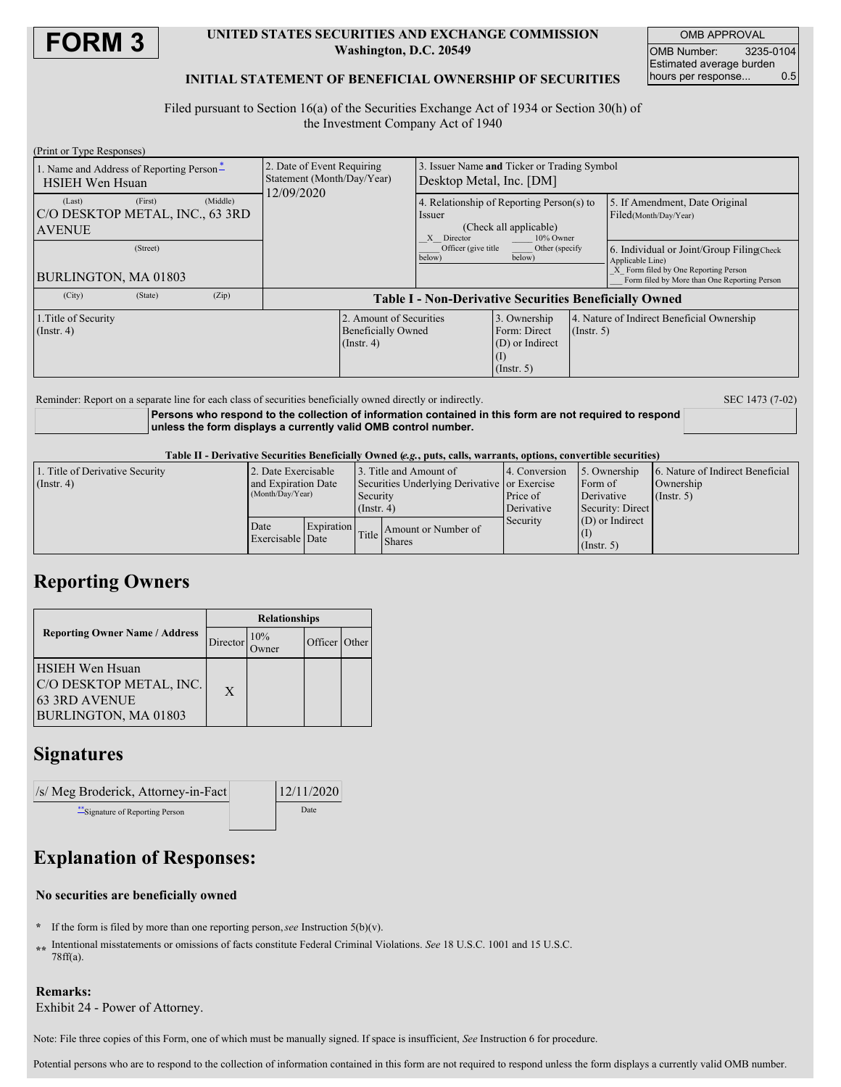

### **UNITED STATES SECURITIES AND EXCHANGE COMMISSION Washington, D.C. 20549**

OMB APPROVAL OMB Number: 3235-0104 Estimated average burden hours per response... 0.5

## **INITIAL STATEMENT OF BENEFICIAL OWNERSHIP OF SECURITIES**

Filed pursuant to Section 16(a) of the Securities Exchange Act of 1934 or Section 30(h) of the Investment Company Act of 1940

| (Print or Type Responses)                                          |         |          |                                                                        |                                                                          |                                                                                                          |                                                                     |                  |                                                                                                                                                        |  |
|--------------------------------------------------------------------|---------|----------|------------------------------------------------------------------------|--------------------------------------------------------------------------|----------------------------------------------------------------------------------------------------------|---------------------------------------------------------------------|------------------|--------------------------------------------------------------------------------------------------------------------------------------------------------|--|
| 1. Name and Address of Reporting Person-<br><b>HSIEH Wen Hsuan</b> |         |          | 2. Date of Event Requiring<br>Statement (Month/Day/Year)<br>12/09/2020 |                                                                          | Issuer Name and Ticker or Trading Symbol<br>Desktop Metal, Inc. [DM]                                     |                                                                     |                  |                                                                                                                                                        |  |
| (Last)<br>C/O DESKTOP METAL, INC., 63 3RD<br><b>AVENUE</b>         | (First) | (Middle) |                                                                        |                                                                          | 4. Relationship of Reporting Person(s) to<br>Issuer<br>(Check all applicable)<br>X Director<br>10% Owner |                                                                     |                  | 5. If Amendment, Date Original<br>Filed(Month/Day/Year)                                                                                                |  |
| (Street)<br>BURLINGTON, MA 01803                                   |         |          |                                                                        |                                                                          | Officer (give title)<br>Other (specify)<br>below)<br>below)                                              |                                                                     |                  | 6. Individual or Joint/Group Filing(Check)<br>Applicable Line)<br>X Form filed by One Reporting Person<br>Form filed by More than One Reporting Person |  |
| (City)                                                             | (State) | (Zip)    | <b>Table I - Non-Derivative Securities Beneficially Owned</b>          |                                                                          |                                                                                                          |                                                                     |                  |                                                                                                                                                        |  |
| 1. Title of Security<br>$($ Instr. 4 $)$                           |         |          |                                                                        | 2. Amount of Securities<br><b>Beneficially Owned</b><br>$($ Instr. 4 $)$ |                                                                                                          | 3. Ownership<br>Form: Direct<br>(D) or Indirect<br>$($ Instr. 5 $)$ | $($ Instr. 5 $)$ | 4. Nature of Indirect Beneficial Ownership                                                                                                             |  |

Reminder: Report on a separate line for each class of securities beneficially owned directly or indirectly. SEC 1473 (7-02)

**Persons who respond to the collection of information contained in this form are not required to respond unless the form displays a currently valid OMB control number.**

Table II - Derivative Securities Beneficially Owned (e.g., puts, calls, warrants, options, convertible securities)

| 1. Title of Derivative Security | 2. Date Exercisable      |            | 3. Title and Amount of                       |                     | 14. Conversion                                           | 5. Ownership      | 6. Nature of Indirect Beneficial |  |
|---------------------------------|--------------------------|------------|----------------------------------------------|---------------------|----------------------------------------------------------|-------------------|----------------------------------|--|
| $($ Instr. 4 $)$                | and Expiration Date      |            | Securities Underlying Derivative or Exercise |                     |                                                          | Form of           | Ownership                        |  |
|                                 | (Month/Day/Year)         |            | Security<br>$($ Instr. 4 $)$                 |                     | Price of<br>Derivative<br>Derivative<br>Security: Direct | $($ Instr. 5 $)$  |                                  |  |
|                                 |                          |            |                                              |                     |                                                          |                   |                                  |  |
|                                 | Date<br>Exercisable Date | Expiration | Title.                                       | Amount or Number of | Security                                                 | $(D)$ or Indirect |                                  |  |
|                                 |                          |            |                                              |                     |                                                          |                   |                                  |  |
|                                 |                          |            |                                              | Shares              |                                                          | (Insert, 5)       |                                  |  |

# **Reporting Owners**

|                                                                                                   | <b>Relationships</b> |     |               |  |  |  |
|---------------------------------------------------------------------------------------------------|----------------------|-----|---------------|--|--|--|
| <b>Reporting Owner Name / Address</b>                                                             | Director             | 10% | Officer Other |  |  |  |
| <b>HSIEH Wen Hsuan</b><br>C/O DESKTOP METAL, INC.<br><b>63 3RD AVENUE</b><br>BURLINGTON, MA 01803 | $\mathbf{X}$         |     |               |  |  |  |

## **Signatures**

| $\sqrt{s}$ Meg Broderick, Attorney-in-Fact | 12/11/2020 |  |  |
|--------------------------------------------|------------|--|--|
| Signature of Reporting Person              | Date       |  |  |

# **Explanation of Responses:**

## **No securities are beneficially owned**

- **\*** If the form is filed by more than one reporting person,*see* Instruction 5(b)(v).
- **\*\*** Intentional misstatements or omissions of facts constitute Federal Criminal Violations. *See* 18 U.S.C. 1001 and 15 U.S.C. 78ff(a).

## **Remarks:**

Exhibit 24 - Power of Attorney.

Note: File three copies of this Form, one of which must be manually signed. If space is insufficient, *See* Instruction 6 for procedure.

Potential persons who are to respond to the collection of information contained in this form are not required to respond unless the form displays a currently valid OMB number.